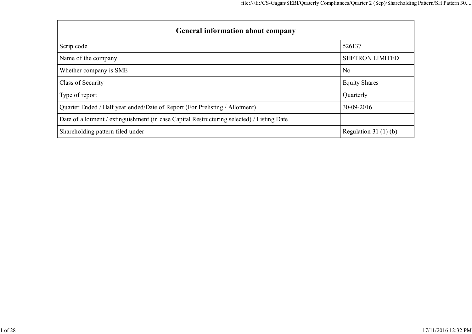| <b>General information about company</b>                                                   |                        |
|--------------------------------------------------------------------------------------------|------------------------|
| Scrip code                                                                                 | 526137                 |
| Name of the company                                                                        | <b>SHETRON LIMITED</b> |
| Whether company is SME                                                                     | N <sub>0</sub>         |
| Class of Security                                                                          | <b>Equity Shares</b>   |
| Type of report                                                                             | Quarterly              |
| Quarter Ended / Half year ended/Date of Report (For Prelisting / Allotment)                | 30-09-2016             |
| Date of allotment / extinguishment (in case Capital Restructuring selected) / Listing Date |                        |
| Shareholding pattern filed under                                                           | Regulation 31 $(1)(b)$ |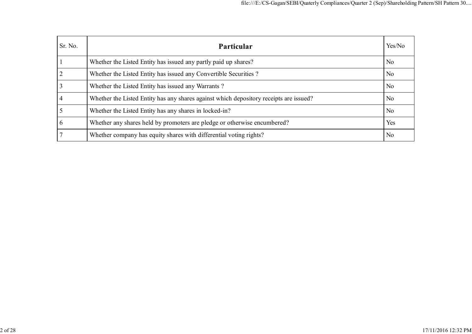| Sr. No.      | Particular                                                                             | Yes/No         |
|--------------|----------------------------------------------------------------------------------------|----------------|
|              | Whether the Listed Entity has issued any partly paid up shares?                        | N <sub>0</sub> |
|              | Whether the Listed Entity has issued any Convertible Securities?                       | N <sub>0</sub> |
|              | Whether the Listed Entity has issued any Warrants?                                     | N <sub>0</sub> |
|              | Whether the Listed Entity has any shares against which depository receipts are issued? | N <sub>0</sub> |
|              | Whether the Listed Entity has any shares in locked-in?                                 | N <sub>0</sub> |
| <sub>0</sub> | Whether any shares held by promoters are pledge or otherwise encumbered?               | Yes            |
|              | Whether company has equity shares with differential voting rights?                     | N <sub>0</sub> |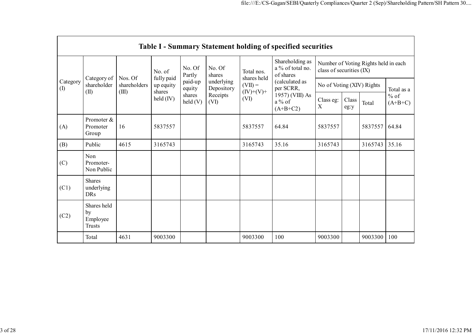|                 | Table I - Summary Statement holding of specified securities |                                  |                                   |                            |                          |                           |                                                  |                                                                  |               |         |                     |  |  |  |
|-----------------|-------------------------------------------------------------|----------------------------------|-----------------------------------|----------------------------|--------------------------|---------------------------|--------------------------------------------------|------------------------------------------------------------------|---------------|---------|---------------------|--|--|--|
|                 |                                                             |                                  | No. of                            | No. Of<br>Partly           | No. Of<br>shares         | Total nos.<br>shares held | Shareholding as<br>a % of total no.<br>of shares | Number of Voting Rights held in each<br>class of securities (IX) |               |         |                     |  |  |  |
| Category<br>(1) | Category of<br>shareholder<br>(II)                          | Nos. Of<br>shareholders<br>(III) | fully paid<br>up equity<br>shares | paid-up<br>equity          | underlying<br>Depository | $(VII) =$<br>$(IV)+(V)+$  | (calculated as<br>per SCRR,                      | No of Voting (XIV) Rights                                        |               |         | Total as a          |  |  |  |
|                 |                                                             |                                  | $\text{held (IV)}$                | shares<br>$\text{held}(V)$ | Receipts<br>(VI)         | (VI)                      | 1957) (VIII) As<br>$a\%$ of<br>$(A+B+C2)$        | Class eg:<br>$\boldsymbol{\mathrm{X}}$                           | Class<br>eg:y | Total   | $%$ of<br>$(A+B+C)$ |  |  |  |
| (A)             | Promoter &<br>Promoter<br>Group                             | 16                               | 5837557                           |                            |                          | 5837557                   | 64.84                                            | 5837557                                                          |               | 5837557 | 64.84               |  |  |  |
| (B)             | Public                                                      | 4615                             | 3165743                           |                            |                          | 3165743                   | 35.16                                            | 3165743                                                          |               | 3165743 | 35.16               |  |  |  |
| (C)             | Non<br>Promoter-<br>Non Public                              |                                  |                                   |                            |                          |                           |                                                  |                                                                  |               |         |                     |  |  |  |
| (C1)            | <b>Shares</b><br>underlying<br><b>DRs</b>                   |                                  |                                   |                            |                          |                           |                                                  |                                                                  |               |         |                     |  |  |  |
| (C2)            | Shares held<br>by<br>Employee<br><b>Trusts</b>              |                                  |                                   |                            |                          |                           |                                                  |                                                                  |               |         |                     |  |  |  |
|                 | Total                                                       | 4631                             | 9003300                           |                            |                          | 9003300                   | 100                                              | 9003300                                                          |               | 9003300 | 100                 |  |  |  |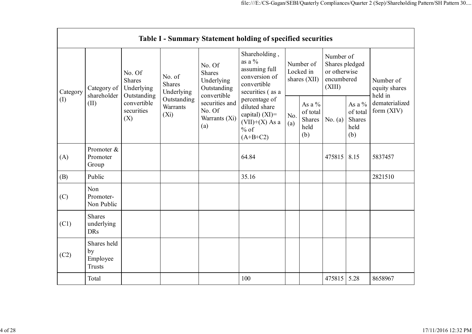|            | Table I - Summary Statement holding of specified securities |                                                                                          |                                                                             |                                                                                                                         |                                                                                                 |                                        |                                               |                                                                     |                                                |                                       |  |  |
|------------|-------------------------------------------------------------|------------------------------------------------------------------------------------------|-----------------------------------------------------------------------------|-------------------------------------------------------------------------------------------------------------------------|-------------------------------------------------------------------------------------------------|----------------------------------------|-----------------------------------------------|---------------------------------------------------------------------|------------------------------------------------|---------------------------------------|--|--|
| Category   | Category of<br>shareholder<br>(II)                          | No. Of<br><b>Shares</b><br>Underlying<br>Outstanding<br>convertible<br>securities<br>(X) | No. of<br><b>Shares</b><br>Underlying<br>Outstanding<br>Warrants<br>$(X_i)$ | No. Of<br><b>Shares</b><br>Underlying<br>Outstanding<br>convertible<br>securities and<br>No. Of<br>Warrants (Xi)<br>(a) | Shareholding,<br>as a $\%$<br>assuming full<br>conversion of<br>convertible<br>securities (as a | Number of<br>Locked in<br>shares (XII) |                                               | Number of<br>Shares pledged<br>or otherwise<br>encumbered<br>(XIII) |                                                | Number of<br>equity shares<br>held in |  |  |
| (1)<br>(A) |                                                             |                                                                                          |                                                                             |                                                                                                                         | percentage of<br>diluted share<br>capital) $(XI)$ =<br>$(VII)+(X)$ As a<br>$%$ of<br>$(A+B+C2)$ | No.<br>(a)                             | As a $%$<br>of total<br>Shares<br>held<br>(b) | No. $(a)$                                                           | As a $\%$<br>of total<br>Shares<br>held<br>(b) | dematerialized<br>form (XIV)          |  |  |
|            | Promoter &<br>Promoter<br>Group                             |                                                                                          |                                                                             |                                                                                                                         | 64.84                                                                                           |                                        |                                               | 475815                                                              | 8.15                                           | 5837457                               |  |  |
| (B)        | Public                                                      |                                                                                          |                                                                             |                                                                                                                         | 35.16                                                                                           |                                        |                                               |                                                                     |                                                | 2821510                               |  |  |
| (C)        | Non<br>Promoter-<br>Non Public                              |                                                                                          |                                                                             |                                                                                                                         |                                                                                                 |                                        |                                               |                                                                     |                                                |                                       |  |  |
| (C1)       | <b>Shares</b><br>underlying<br><b>DRs</b>                   |                                                                                          |                                                                             |                                                                                                                         |                                                                                                 |                                        |                                               |                                                                     |                                                |                                       |  |  |
| (C2)       | Shares held<br>by<br>Employee<br><b>Trusts</b>              |                                                                                          |                                                                             |                                                                                                                         |                                                                                                 |                                        |                                               |                                                                     |                                                |                                       |  |  |
|            | Total                                                       |                                                                                          |                                                                             |                                                                                                                         | 100                                                                                             |                                        |                                               | 475815                                                              | 5.28                                           | 8658967                               |  |  |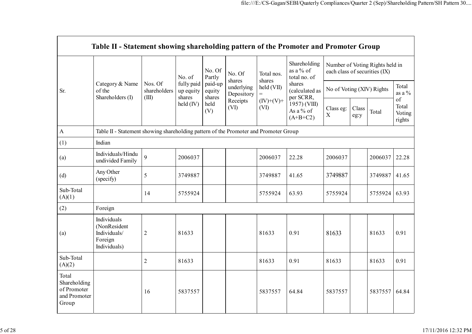|                                                               | Table II - Statement showing shareholding pattern of the Promoter and Promoter Group |                                  |                                   |                             |                          |                      |                                                                                  |                                                                  |               |         |                                 |  |
|---------------------------------------------------------------|--------------------------------------------------------------------------------------|----------------------------------|-----------------------------------|-----------------------------|--------------------------|----------------------|----------------------------------------------------------------------------------|------------------------------------------------------------------|---------------|---------|---------------------------------|--|
|                                                               |                                                                                      |                                  | No. of                            | No. Of<br>Partly            | No. Of<br>shares         | Total nos.<br>shares | Shareholding<br>as a % of<br>total no. of                                        | Number of Voting Rights held in<br>each class of securities (IX) |               |         |                                 |  |
| Sr.                                                           | Category & Name<br>of the<br>Shareholders (I)                                        | Nos. Of<br>shareholders<br>(III) | fully paid<br>up equity<br>shares | paid-up<br>equity<br>shares | underlying<br>Depository | held (VII)           | shares<br>(calculated as<br>per SCRR,<br>1957) (VIII)<br>As a % of<br>$(A+B+C2)$ | No of Voting (XIV) Rights                                        |               |         | Total<br>as a $\%$              |  |
|                                                               |                                                                                      |                                  | held (IV)                         | held<br>(V)                 | Receipts<br>(VI)         | $(IV)+(V)+$<br>(VI)  |                                                                                  | Class eg:<br>$\mathbf X$                                         | Class<br>eg:y | Total   | of<br>Total<br>Voting<br>rights |  |
| $\Lambda$                                                     | Table II - Statement showing shareholding pattern of the Promoter and Promoter Group |                                  |                                   |                             |                          |                      |                                                                                  |                                                                  |               |         |                                 |  |
| (1)                                                           | Indian                                                                               |                                  |                                   |                             |                          |                      |                                                                                  |                                                                  |               |         |                                 |  |
| (a)                                                           | Individuals/Hindu<br>undivided Family                                                | 9                                | 2006037                           |                             |                          | 2006037              | 22.28                                                                            | 2006037                                                          |               | 2006037 | 22.28                           |  |
| (d)                                                           | Any Other<br>(specify)                                                               | 5                                | 3749887                           |                             |                          | 3749887              | 41.65                                                                            | 3749887                                                          |               | 3749887 | 41.65                           |  |
| Sub-Total<br>(A)(1)                                           |                                                                                      | 14                               | 5755924                           |                             |                          | 5755924              | 63.93                                                                            | 5755924                                                          |               | 5755924 | 63.93                           |  |
| (2)                                                           | Foreign                                                                              |                                  |                                   |                             |                          |                      |                                                                                  |                                                                  |               |         |                                 |  |
| (a)                                                           | Individuals<br>(NonResident<br>Individuals/<br>Foreign<br>Individuals)               | $\overline{2}$                   | 81633                             |                             |                          | 81633                | 0.91                                                                             | 81633                                                            |               | 81633   | 0.91                            |  |
| Sub-Total<br>(A)(2)                                           |                                                                                      | $\overline{2}$                   | 81633                             |                             |                          | 81633                | 0.91                                                                             | 81633                                                            |               | 81633   | 0.91                            |  |
| Total<br>Shareholding<br>of Promoter<br>and Promoter<br>Group |                                                                                      | 16                               | 5837557                           |                             |                          | 5837557              | 64.84                                                                            | 5837557                                                          |               | 5837557 | 64.84                           |  |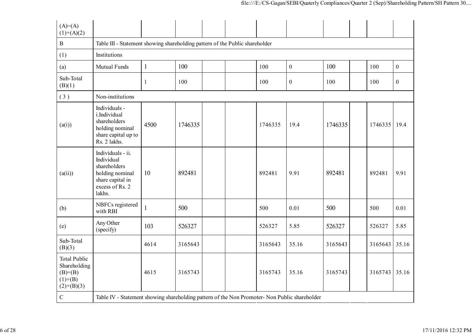| $(A)=(A)$<br>$(1)+(A)(2)$                                                      |                                                                                                                     |              |         |  |         |                  |         |         |                  |
|--------------------------------------------------------------------------------|---------------------------------------------------------------------------------------------------------------------|--------------|---------|--|---------|------------------|---------|---------|------------------|
| $\, {\bf B}$                                                                   | Table III - Statement showing shareholding pattern of the Public shareholder                                        |              |         |  |         |                  |         |         |                  |
| (1)                                                                            | Institutions                                                                                                        |              |         |  |         |                  |         |         |                  |
| (a)                                                                            | Mutual Funds                                                                                                        | $\mathbf{1}$ | 100     |  | 100     | $\boldsymbol{0}$ | 100     | 100     | $\boldsymbol{0}$ |
| Sub-Total<br>(B)(1)                                                            |                                                                                                                     | 1            | 100     |  | 100     | $\boldsymbol{0}$ | 100     | 100     | $\boldsymbol{0}$ |
| (3)                                                                            | Non-institutions                                                                                                    |              |         |  |         |                  |         |         |                  |
| (a(i))                                                                         | Individuals -<br>i.Individual<br>shareholders<br>holding nominal<br>share capital up to<br>Rs. 2 lakhs.             | 4500         | 1746335 |  | 1746335 | 19.4             | 1746335 | 1746335 | 19.4             |
| (a(ii))                                                                        | Individuals - ii.<br>Individual<br>shareholders<br>holding nominal<br>share capital in<br>excess of Rs. 2<br>lakhs. | 10           | 892481  |  | 892481  | 9.91             | 892481  | 892481  | 9.91             |
| (b)                                                                            | NBFCs registered<br>with RBI                                                                                        | $\mathbf{1}$ | 500     |  | 500     | 0.01             | 500     | 500     | 0.01             |
| (e)                                                                            | Any Other<br>(specify)                                                                                              | 103          | 526327  |  | 526327  | 5.85             | 526327  | 526327  | 5.85             |
| Sub-Total<br>(B)(3)                                                            |                                                                                                                     | 4614         | 3165643 |  | 3165643 | 35.16            | 3165643 | 3165643 | 35.16            |
| <b>Total Public</b><br>Shareholding<br>$(B)= (B)$<br>$(1)+(B)$<br>$(2)+(B)(3)$ |                                                                                                                     | 4615         | 3165743 |  | 3165743 | 35.16            | 3165743 | 3165743 | 35.16            |
| $\mathsf C$                                                                    | Table IV - Statement showing shareholding pattern of the Non Promoter- Non Public shareholder                       |              |         |  |         |                  |         |         |                  |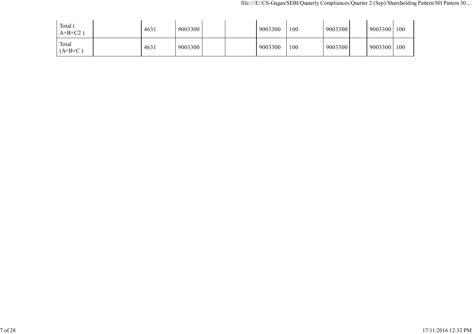| Total $\mathfrak{c}$<br>$A+B+C2$ | 4631 | 9003300 |  | 9003300 | 100 | 9003300 | 9003300 | 100 |
|----------------------------------|------|---------|--|---------|-----|---------|---------|-----|
| Total<br>$(A+B+C)$               | 4631 | 9003300 |  | 9003300 | 100 | 9003300 | 9003300 | 100 |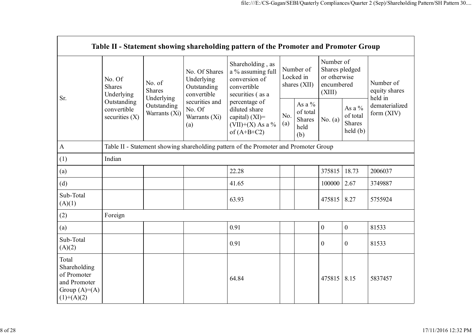|                                                                                        |                                                                                         |                                       |                                                           | Table II - Statement showing shareholding pattern of the Promoter and Promoter Group                                                                                                  |                                          |                                                    |                                                                     |                                                   |                                       |  |  |
|----------------------------------------------------------------------------------------|-----------------------------------------------------------------------------------------|---------------------------------------|-----------------------------------------------------------|---------------------------------------------------------------------------------------------------------------------------------------------------------------------------------------|------------------------------------------|----------------------------------------------------|---------------------------------------------------------------------|---------------------------------------------------|---------------------------------------|--|--|
| Sr.                                                                                    | No. Of<br><b>Shares</b><br>Underlying<br>Outstanding<br>convertible<br>securities $(X)$ | No. of<br><b>Shares</b><br>Underlying | No. Of Shares<br>Underlying<br>Outstanding<br>convertible | Shareholding, as<br>a % assuming full<br>conversion of<br>convertible<br>securities (as a<br>percentage of<br>diluted share<br>capital) $(XI)$ =<br>(VII)+(X) As a %<br>of $(A+B+C2)$ | Number of<br>Locked in<br>shares $(XII)$ |                                                    | Number of<br>Shares pledged<br>or otherwise<br>encumbered<br>(XIII) |                                                   | Number of<br>equity shares<br>held in |  |  |
| $\mathbf{A}$                                                                           |                                                                                         | Outstanding<br>Warrants (Xi)          | securities and<br>No. Of<br>Warrants (Xi)<br>(a)          |                                                                                                                                                                                       | No.<br>(a)                               | As a %<br>of total<br><b>Shares</b><br>held<br>(b) | No. $(a)$                                                           | As a $\%$<br>of total<br><b>Shares</b><br>held(b) | dematerialized<br>form (XIV)          |  |  |
|                                                                                        |                                                                                         |                                       |                                                           | Table II - Statement showing shareholding pattern of the Promoter and Promoter Group                                                                                                  |                                          |                                                    |                                                                     |                                                   |                                       |  |  |
| (1)                                                                                    | Indian                                                                                  |                                       |                                                           |                                                                                                                                                                                       |                                          |                                                    |                                                                     |                                                   |                                       |  |  |
| (a)                                                                                    |                                                                                         |                                       |                                                           | 22.28                                                                                                                                                                                 |                                          |                                                    | 375815                                                              | 18.73                                             | 2006037                               |  |  |
| (d)                                                                                    |                                                                                         |                                       |                                                           | 41.65                                                                                                                                                                                 |                                          |                                                    | 100000                                                              | 2.67                                              | 3749887                               |  |  |
| Sub-Total<br>(A)(1)                                                                    |                                                                                         |                                       |                                                           | 63.93                                                                                                                                                                                 |                                          |                                                    | 475815                                                              | 8.27                                              | 5755924                               |  |  |
| (2)                                                                                    | Foreign                                                                                 |                                       |                                                           |                                                                                                                                                                                       |                                          |                                                    |                                                                     |                                                   |                                       |  |  |
| (a)                                                                                    |                                                                                         |                                       |                                                           | 0.91                                                                                                                                                                                  |                                          |                                                    | $\overline{0}$                                                      | $\mathbf{0}$                                      | 81533                                 |  |  |
| Sub-Total<br>(A)(2)                                                                    |                                                                                         |                                       |                                                           | 0.91                                                                                                                                                                                  |                                          |                                                    | $\boldsymbol{0}$                                                    | $\mathbf{0}$                                      | 81533                                 |  |  |
| Total<br>Shareholding<br>of Promoter<br>and Promoter<br>Group $(A)=A)$<br>$(1)+(A)(2)$ |                                                                                         |                                       |                                                           | 64.84                                                                                                                                                                                 |                                          |                                                    | 475815                                                              | 8.15                                              | 5837457                               |  |  |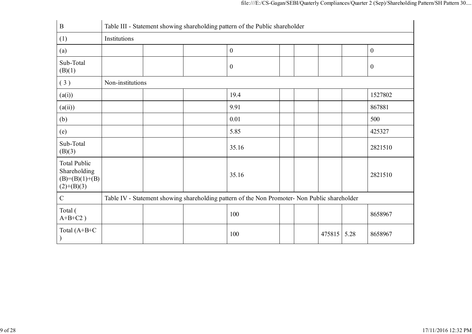| $\boldsymbol{B}$                                                         | Table III - Statement showing shareholding pattern of the Public shareholder |  |  |                                                                                               |  |  |        |      |                  |  |
|--------------------------------------------------------------------------|------------------------------------------------------------------------------|--|--|-----------------------------------------------------------------------------------------------|--|--|--------|------|------------------|--|
| (1)                                                                      | Institutions                                                                 |  |  |                                                                                               |  |  |        |      |                  |  |
| (a)                                                                      |                                                                              |  |  | $\boldsymbol{0}$                                                                              |  |  |        |      | $\boldsymbol{0}$ |  |
| Sub-Total<br>(B)(1)                                                      |                                                                              |  |  | $\boldsymbol{0}$                                                                              |  |  |        |      | $\boldsymbol{0}$ |  |
| (3)                                                                      | Non-institutions                                                             |  |  |                                                                                               |  |  |        |      |                  |  |
| (a(i))                                                                   |                                                                              |  |  | 19.4                                                                                          |  |  |        |      | 1527802          |  |
| (a(ii))                                                                  |                                                                              |  |  | 9.91                                                                                          |  |  |        |      | 867881           |  |
| (b)                                                                      |                                                                              |  |  | 0.01                                                                                          |  |  |        |      | 500              |  |
| (e)                                                                      |                                                                              |  |  | 5.85                                                                                          |  |  |        |      | 425327           |  |
| Sub-Total<br>(B)(3)                                                      |                                                                              |  |  | 35.16                                                                                         |  |  |        |      | 2821510          |  |
| <b>Total Public</b><br>Shareholding<br>$(B)= (B)(1)+(B)$<br>$(2)+(B)(3)$ |                                                                              |  |  | 35.16                                                                                         |  |  |        |      | 2821510          |  |
| $\mathcal{C}$                                                            |                                                                              |  |  | Table IV - Statement showing shareholding pattern of the Non Promoter- Non Public shareholder |  |  |        |      |                  |  |
| Total (<br>$A+B+C2$ )                                                    |                                                                              |  |  | 100                                                                                           |  |  |        |      | 8658967          |  |
| Total $(A+B+C)$                                                          |                                                                              |  |  | 100                                                                                           |  |  | 475815 | 5.28 | 8658967          |  |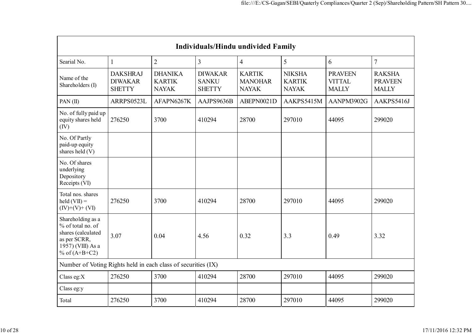|                                                                                                                      | <b>Individuals/Hindu undivided Family</b>          |                                                 |                                                 |                                                 |                                                |                                                 |                                                 |  |  |  |  |  |  |
|----------------------------------------------------------------------------------------------------------------------|----------------------------------------------------|-------------------------------------------------|-------------------------------------------------|-------------------------------------------------|------------------------------------------------|-------------------------------------------------|-------------------------------------------------|--|--|--|--|--|--|
| Searial No.                                                                                                          | 1                                                  | $\overline{2}$                                  | $\overline{3}$                                  | $\overline{4}$                                  | 5                                              | 6                                               | $\overline{7}$                                  |  |  |  |  |  |  |
| Name of the<br>Shareholders (I)                                                                                      | <b>DAKSHRAJ</b><br><b>DIWAKAR</b><br><b>SHETTY</b> | <b>DHANIKA</b><br><b>KARTIK</b><br><b>NAYAK</b> | <b>DIWAKAR</b><br><b>SANKU</b><br><b>SHETTY</b> | <b>KARTIK</b><br><b>MANOHAR</b><br><b>NAYAK</b> | <b>NIKSHA</b><br><b>KARTIK</b><br><b>NAYAK</b> | <b>PRAVEEN</b><br><b>VITTAL</b><br><b>MALLY</b> | <b>RAKSHA</b><br><b>PRAVEEN</b><br><b>MALLY</b> |  |  |  |  |  |  |
| PAN $(II)$                                                                                                           | ARRPS0523L                                         | AFAPN6267K                                      | AAJPS9636B                                      | ABEPN0021D                                      | AAKPS5415M                                     | AANPM3902G                                      | AAKPS5416J                                      |  |  |  |  |  |  |
| No. of fully paid up<br>equity shares held<br>(IV)                                                                   | 276250                                             | 3700                                            | 410294                                          | 28700                                           | 297010                                         | 44095                                           | 299020                                          |  |  |  |  |  |  |
| No. Of Partly<br>paid-up equity<br>shares held (V)                                                                   |                                                    |                                                 |                                                 |                                                 |                                                |                                                 |                                                 |  |  |  |  |  |  |
| No. Of shares<br>underlying<br>Depository<br>Receipts (VI)                                                           |                                                    |                                                 |                                                 |                                                 |                                                |                                                 |                                                 |  |  |  |  |  |  |
| Total nos. shares<br>$\text{held}(\text{VII}) =$<br>$(IV)+(V)+(VI)$                                                  | 276250                                             | 3700                                            | 410294                                          | 28700                                           | 297010                                         | 44095                                           | 299020                                          |  |  |  |  |  |  |
| Shareholding as a<br>% of total no. of<br>shares (calculated<br>as per SCRR,<br>1957) (VIII) As a<br>% of $(A+B+C2)$ | 3.07                                               | 0.04                                            | 4.56                                            | 0.32                                            | 3.3                                            | 0.49                                            | 3.32                                            |  |  |  |  |  |  |
| Number of Voting Rights held in each class of securities (IX)                                                        |                                                    |                                                 |                                                 |                                                 |                                                |                                                 |                                                 |  |  |  |  |  |  |
| Class eg:X                                                                                                           | 276250                                             | 3700                                            | 410294                                          | 28700                                           | 297010                                         | 44095                                           | 299020                                          |  |  |  |  |  |  |
| Class eg:y                                                                                                           |                                                    |                                                 |                                                 |                                                 |                                                |                                                 |                                                 |  |  |  |  |  |  |
| Total                                                                                                                | 276250                                             | 3700                                            | 410294                                          | 28700                                           | 297010                                         | 44095                                           | 299020                                          |  |  |  |  |  |  |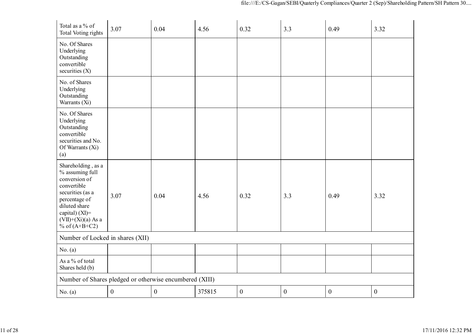| Total as a % of<br>Total Voting rights                                                                                                                                                   | 3.07             | 0.04             | 4.56   | 0.32             | 3.3              | 0.49             | 3.32             |  |  |  |
|------------------------------------------------------------------------------------------------------------------------------------------------------------------------------------------|------------------|------------------|--------|------------------|------------------|------------------|------------------|--|--|--|
| No. Of Shares<br>Underlying<br>Outstanding<br>convertible<br>securities $(X)$                                                                                                            |                  |                  |        |                  |                  |                  |                  |  |  |  |
| No. of Shares<br>Underlying<br>Outstanding<br>Warrants (Xi)                                                                                                                              |                  |                  |        |                  |                  |                  |                  |  |  |  |
| No. Of Shares<br>Underlying<br>Outstanding<br>convertible<br>securities and No.<br>Of Warrants (Xi)<br>(a)                                                                               |                  |                  |        |                  |                  |                  |                  |  |  |  |
| Shareholding, as a<br>% assuming full<br>conversion of<br>convertible<br>securities (as a<br>percentage of<br>diluted share<br>capital) (XI)=<br>$(VII)+(Xi)(a)$ As a<br>% of $(A+B+C2)$ | 3.07             | 0.04             | 4.56   | 0.32             | 3.3              | 0.49             | 3.32             |  |  |  |
| Number of Locked in shares (XII)                                                                                                                                                         |                  |                  |        |                  |                  |                  |                  |  |  |  |
| No. (a)                                                                                                                                                                                  |                  |                  |        |                  |                  |                  |                  |  |  |  |
| As a % of total<br>Shares held (b)                                                                                                                                                       |                  |                  |        |                  |                  |                  |                  |  |  |  |
| Number of Shares pledged or otherwise encumbered (XIII)                                                                                                                                  |                  |                  |        |                  |                  |                  |                  |  |  |  |
| No. (a)                                                                                                                                                                                  | $\boldsymbol{0}$ | $\boldsymbol{0}$ | 375815 | $\boldsymbol{0}$ | $\boldsymbol{0}$ | $\boldsymbol{0}$ | $\boldsymbol{0}$ |  |  |  |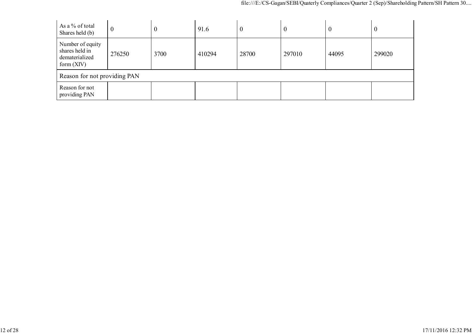| As a % of total<br>Shares held (b)                                   | 0                            | $\boldsymbol{0}$ | 91.6   | $\boldsymbol{0}$ | $\boldsymbol{0}$ | V     | $\theta$ |  |  |
|----------------------------------------------------------------------|------------------------------|------------------|--------|------------------|------------------|-------|----------|--|--|
| Number of equity<br>shares held in<br>dematerialized<br>form $(XIV)$ | 276250                       | 3700             | 410294 | 28700            | 297010           | 44095 | 299020   |  |  |
|                                                                      | Reason for not providing PAN |                  |        |                  |                  |       |          |  |  |
| Reason for not<br>providing PAN                                      |                              |                  |        |                  |                  |       |          |  |  |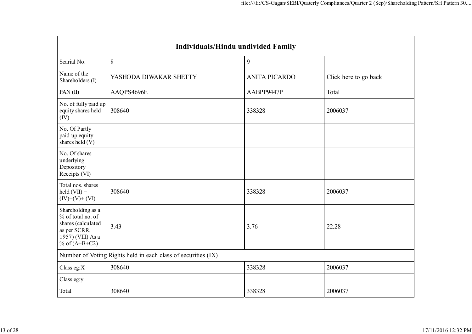| <b>Individuals/Hindu undivided Family</b>                                                                            |                                                               |                      |                       |  |  |
|----------------------------------------------------------------------------------------------------------------------|---------------------------------------------------------------|----------------------|-----------------------|--|--|
| Searial No.                                                                                                          | 8                                                             | 9                    |                       |  |  |
| Name of the<br>Shareholders (I)                                                                                      | YASHODA DIWAKAR SHETTY                                        | <b>ANITA PICARDO</b> | Click here to go back |  |  |
| PAN(II)                                                                                                              | AAQPS4696E                                                    | AABPP9447P           | Total                 |  |  |
| No. of fully paid up<br>equity shares held<br>(IV)                                                                   | 308640                                                        | 338328               | 2006037               |  |  |
| No. Of Partly<br>paid-up equity<br>shares held (V)                                                                   |                                                               |                      |                       |  |  |
| No. Of shares<br>underlying<br>Depository<br>Receipts (VI)                                                           |                                                               |                      |                       |  |  |
| Total nos. shares<br>$\text{held}(\text{VII}) =$<br>$(IV)+(V)+(VI)$                                                  | 308640                                                        | 338328               | 2006037               |  |  |
| Shareholding as a<br>% of total no. of<br>shares (calculated<br>as per SCRR,<br>1957) (VIII) As a<br>% of $(A+B+C2)$ | 3.43                                                          | 3.76                 | 22.28                 |  |  |
|                                                                                                                      | Number of Voting Rights held in each class of securities (IX) |                      |                       |  |  |
| Class eg:X                                                                                                           | 308640                                                        | 338328               | 2006037               |  |  |
| Class eg:y                                                                                                           |                                                               |                      |                       |  |  |
| Total                                                                                                                | 308640                                                        | 338328               | 2006037               |  |  |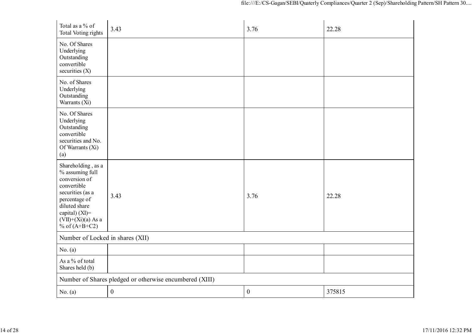| Total as a % of<br>Total Voting rights                                                                                                                                                      | 3.43                                                    | 3.76             | 22.28  |  |  |
|---------------------------------------------------------------------------------------------------------------------------------------------------------------------------------------------|---------------------------------------------------------|------------------|--------|--|--|
| No. Of Shares<br>Underlying<br>Outstanding<br>convertible<br>securities $(X)$                                                                                                               |                                                         |                  |        |  |  |
| No. of Shares<br>Underlying<br>Outstanding<br>Warrants (Xi)                                                                                                                                 |                                                         |                  |        |  |  |
| No. Of Shares<br>Underlying<br>Outstanding<br>convertible<br>securities and No.<br>Of Warrants (Xi)<br>(a)                                                                                  |                                                         |                  |        |  |  |
| Shareholding, as a<br>% assuming full<br>conversion of<br>convertible<br>securities (as a<br>percentage of<br>diluted share<br>capital) $(XI)$ =<br>$(VII)+(Xi)(a)$ As a<br>% of $(A+B+C2)$ | 3.43                                                    | 3.76             | 22.28  |  |  |
|                                                                                                                                                                                             | Number of Locked in shares (XII)                        |                  |        |  |  |
| No. (a)                                                                                                                                                                                     |                                                         |                  |        |  |  |
| As a % of total<br>Shares held (b)                                                                                                                                                          |                                                         |                  |        |  |  |
|                                                                                                                                                                                             | Number of Shares pledged or otherwise encumbered (XIII) |                  |        |  |  |
| No. (a)                                                                                                                                                                                     | $\boldsymbol{0}$                                        | $\boldsymbol{0}$ | 375815 |  |  |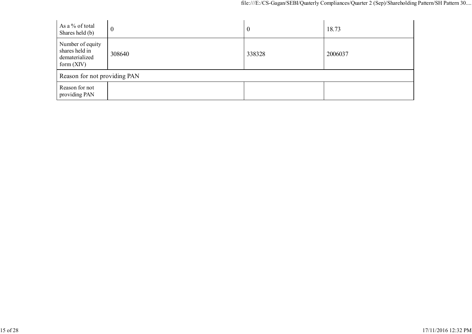| As a % of total<br>Shares held (b)                                   | $\boldsymbol{0}$ | $\mathbf 0$ | 18.73   |  |
|----------------------------------------------------------------------|------------------|-------------|---------|--|
| Number of equity<br>shares held in<br>dematerialized<br>form $(XIV)$ | 308640           | 338328      | 2006037 |  |
| Reason for not providing PAN                                         |                  |             |         |  |
| Reason for not<br>providing PAN                                      |                  |             |         |  |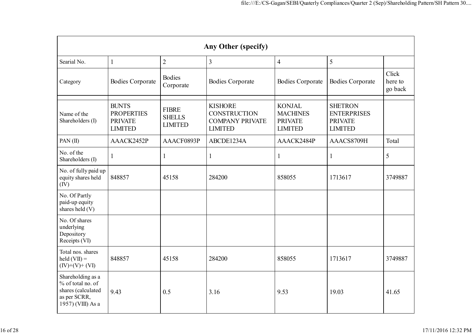| Any Other (specify)                                                                               |                                                                       |                                                 |                                                                                   |                                                                      |                                                                          |                             |
|---------------------------------------------------------------------------------------------------|-----------------------------------------------------------------------|-------------------------------------------------|-----------------------------------------------------------------------------------|----------------------------------------------------------------------|--------------------------------------------------------------------------|-----------------------------|
| Searial No.                                                                                       | $\mathbf{1}$                                                          | $\overline{2}$                                  | $\overline{3}$                                                                    | $\overline{4}$                                                       | 5                                                                        |                             |
| Category                                                                                          | <b>Bodies Corporate</b>                                               | <b>Bodies</b><br>Corporate                      | <b>Bodies Corporate</b>                                                           | <b>Bodies Corporate</b>                                              | <b>Bodies Corporate</b>                                                  | Click<br>here to<br>go back |
| Name of the<br>Shareholders (I)                                                                   | <b>BUNTS</b><br><b>PROPERTIES</b><br><b>PRIVATE</b><br><b>LIMITED</b> | <b>FIBRE</b><br><b>SHELLS</b><br><b>LIMITED</b> | <b>KISHORE</b><br><b>CONSTRUCTION</b><br><b>COMPANY PRIVATE</b><br><b>LIMITED</b> | <b>KONJAL</b><br><b>MACHINES</b><br><b>PRIVATE</b><br><b>LIMITED</b> | <b>SHETRON</b><br><b>ENTERPRISES</b><br><b>PRIVATE</b><br><b>LIMITED</b> |                             |
| PAN $(II)$                                                                                        | AAACK2452P                                                            | AAACF0893P                                      | ABCDE1234A                                                                        | AAACK2484P                                                           | AAACS8709H                                                               | Total                       |
| No. of the<br>Shareholders (I)                                                                    | 1                                                                     | $\mathbf{1}$                                    | 1                                                                                 | 1                                                                    | 1                                                                        | $\mathfrak{S}$              |
| No. of fully paid up<br>equity shares held<br>(IV)                                                | 848857                                                                | 45158                                           | 284200                                                                            | 858055                                                               | 1713617                                                                  | 3749887                     |
| No. Of Partly<br>paid-up equity<br>shares held (V)                                                |                                                                       |                                                 |                                                                                   |                                                                      |                                                                          |                             |
| No. Of shares<br>underlying<br>Depository<br>Receipts (VI)                                        |                                                                       |                                                 |                                                                                   |                                                                      |                                                                          |                             |
| Total nos. shares<br>$\text{held}(\text{VII}) =$<br>$(IV)+(V)+(VI)$                               | 848857                                                                | 45158                                           | 284200                                                                            | 858055                                                               | 1713617                                                                  | 3749887                     |
| Shareholding as a<br>% of total no. of<br>shares (calculated<br>as per SCRR,<br>1957) (VIII) As a | 9.43                                                                  | 0.5                                             | 3.16                                                                              | 9.53                                                                 | 19.03                                                                    | 41.65                       |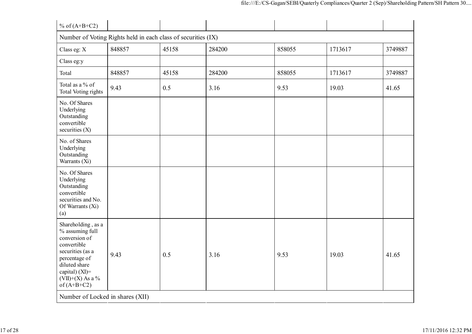| % of $(A+B+C2)$                                                                                                                                                                      |                                                               |       |        |        |         |         |
|--------------------------------------------------------------------------------------------------------------------------------------------------------------------------------------|---------------------------------------------------------------|-------|--------|--------|---------|---------|
|                                                                                                                                                                                      | Number of Voting Rights held in each class of securities (IX) |       |        |        |         |         |
| Class eg: X                                                                                                                                                                          | 848857                                                        | 45158 | 284200 | 858055 | 1713617 | 3749887 |
| Class eg:y                                                                                                                                                                           |                                                               |       |        |        |         |         |
| Total                                                                                                                                                                                | 848857                                                        | 45158 | 284200 | 858055 | 1713617 | 3749887 |
| Total as a % of<br>Total Voting rights                                                                                                                                               | 9.43                                                          | 0.5   | 3.16   | 9.53   | 19.03   | 41.65   |
| No. Of Shares<br>Underlying<br>Outstanding<br>convertible<br>securities $(X)$                                                                                                        |                                                               |       |        |        |         |         |
| No. of Shares<br>Underlying<br>Outstanding<br>Warrants (Xi)                                                                                                                          |                                                               |       |        |        |         |         |
| No. Of Shares<br>Underlying<br>Outstanding<br>convertible<br>securities and No.<br>Of Warrants (Xi)<br>(a)                                                                           |                                                               |       |        |        |         |         |
| Shareholding, as a<br>% assuming full<br>conversion of<br>convertible<br>securities (as a<br>percentage of<br>diluted share<br>capital) (XI)=<br>$(VII)+(X)$ As a %<br>of $(A+B+C2)$ | 9.43                                                          | 0.5   | 3.16   | 9.53   | 19.03   | 41.65   |
| Number of Locked in shares (XII)                                                                                                                                                     |                                                               |       |        |        |         |         |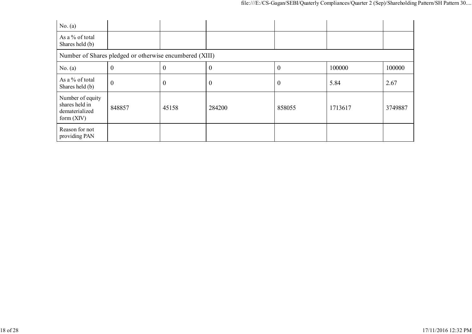| No. (a)                                                              |                                                         |                  |                  |                  |         |         |  |
|----------------------------------------------------------------------|---------------------------------------------------------|------------------|------------------|------------------|---------|---------|--|
| As a % of total<br>Shares held (b)                                   |                                                         |                  |                  |                  |         |         |  |
|                                                                      | Number of Shares pledged or otherwise encumbered (XIII) |                  |                  |                  |         |         |  |
| No. (a)                                                              | $\theta$                                                | $\boldsymbol{0}$ | $\boldsymbol{0}$ | $\boldsymbol{0}$ | 100000  | 100000  |  |
| As a % of total<br>Shares held (b)                                   | $\boldsymbol{0}$                                        | $\boldsymbol{0}$ | $\boldsymbol{0}$ | $\boldsymbol{0}$ | 5.84    | 2.67    |  |
| Number of equity<br>shares held in<br>dematerialized<br>form $(XIV)$ | 848857                                                  | 45158            | 284200           | 858055           | 1713617 | 3749887 |  |
| Reason for not<br>providing PAN                                      |                                                         |                  |                  |                  |         |         |  |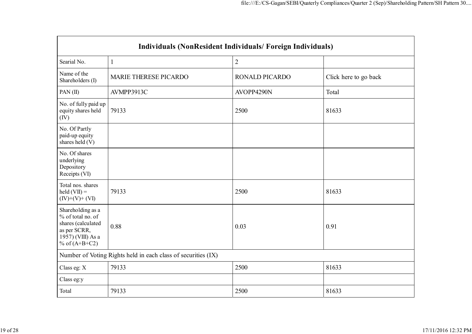| Individuals (NonResident Individuals/Foreign Individuals)                                                            |                                                               |                       |                       |  |
|----------------------------------------------------------------------------------------------------------------------|---------------------------------------------------------------|-----------------------|-----------------------|--|
| Searial No.                                                                                                          | 1                                                             | $\overline{2}$        |                       |  |
| Name of the<br>Shareholders (I)                                                                                      | <b>MARIE THERESE PICARDO</b>                                  | <b>RONALD PICARDO</b> | Click here to go back |  |
| PAN $(II)$                                                                                                           | AVMPP3913C                                                    | AVOPP4290N            | Total                 |  |
| No. of fully paid up<br>equity shares held<br>(IV)                                                                   | 79133                                                         | 2500                  | 81633                 |  |
| No. Of Partly<br>paid-up equity<br>shares held (V)                                                                   |                                                               |                       |                       |  |
| No. Of shares<br>underlying<br>Depository<br>Receipts (VI)                                                           |                                                               |                       |                       |  |
| Total nos. shares<br>$\text{held}(\text{VII}) =$<br>$(IV)+(V)+(VI)$                                                  | 79133                                                         | 2500                  | 81633                 |  |
| Shareholding as a<br>% of total no. of<br>shares (calculated<br>as per SCRR,<br>1957) (VIII) As a<br>% of $(A+B+C2)$ | 0.88                                                          | 0.03                  | 0.91                  |  |
|                                                                                                                      | Number of Voting Rights held in each class of securities (IX) |                       |                       |  |
| Class eg: X                                                                                                          | 79133                                                         | 2500                  | 81633                 |  |
| Class eg:y                                                                                                           |                                                               |                       |                       |  |
| Total                                                                                                                | 79133                                                         | 2500                  | 81633                 |  |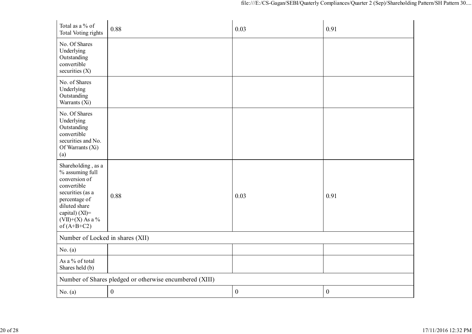| Total as a % of<br><b>Total Voting rights</b>                                                                                                                                        | 0.88                                                    | 0.03             | 0.91             |
|--------------------------------------------------------------------------------------------------------------------------------------------------------------------------------------|---------------------------------------------------------|------------------|------------------|
| No. Of Shares<br>Underlying<br>Outstanding<br>convertible<br>securities $(X)$                                                                                                        |                                                         |                  |                  |
| No. of Shares<br>Underlying<br>Outstanding<br>Warrants (Xi)                                                                                                                          |                                                         |                  |                  |
| No. Of Shares<br>Underlying<br>Outstanding<br>convertible<br>securities and No.<br>Of Warrants (Xi)<br>(a)                                                                           |                                                         |                  |                  |
| Shareholding, as a<br>% assuming full<br>conversion of<br>convertible<br>securities (as a<br>percentage of<br>diluted share<br>capital) (XI)=<br>$(VII)+(X)$ As a %<br>of $(A+B+C2)$ | 0.88                                                    | 0.03             | 0.91             |
| Number of Locked in shares (XII)                                                                                                                                                     |                                                         |                  |                  |
| No. (a)                                                                                                                                                                              |                                                         |                  |                  |
| As a % of total<br>Shares held (b)                                                                                                                                                   |                                                         |                  |                  |
|                                                                                                                                                                                      | Number of Shares pledged or otherwise encumbered (XIII) |                  |                  |
| No. (a)                                                                                                                                                                              | $\boldsymbol{0}$                                        | $\boldsymbol{0}$ | $\boldsymbol{0}$ |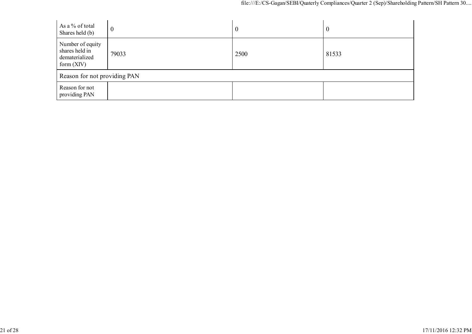| As a % of total<br>Shares held (b)                                   | $\boldsymbol{0}$ | $\boldsymbol{0}$ | $\bf{0}$ |
|----------------------------------------------------------------------|------------------|------------------|----------|
| Number of equity<br>shares held in<br>dematerialized<br>form $(XIV)$ | 79033            | 2500             | 81533    |
| Reason for not providing PAN                                         |                  |                  |          |
| Reason for not<br>providing PAN                                      |                  |                  |          |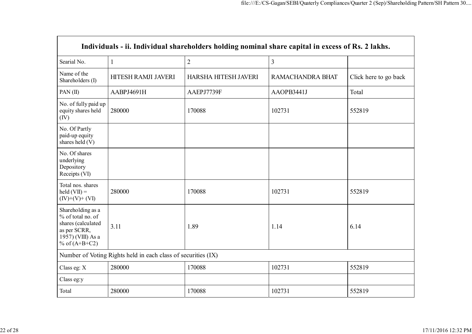| Individuals - ii. Individual shareholders holding nominal share capital in excess of Rs. 2 lakhs.                    |                     |                      |                  |                       |  |
|----------------------------------------------------------------------------------------------------------------------|---------------------|----------------------|------------------|-----------------------|--|
| Searial No.                                                                                                          | $\mathbf{1}$        | $\overline{2}$       | $\overline{3}$   |                       |  |
| Name of the<br>Shareholders (I)                                                                                      | HITESH RAMJI JAVERI | HARSHA HITESH JAVERI | RAMACHANDRA BHAT | Click here to go back |  |
| PAN $(II)$                                                                                                           | AABPJ4691H          | AAEPJ7739F           | AAOPB3441J       | Total                 |  |
| No. of fully paid up<br>equity shares held<br>(IV)                                                                   | 280000              | 170088               | 102731           | 552819                |  |
| No. Of Partly<br>paid-up equity<br>shares held (V)                                                                   |                     |                      |                  |                       |  |
| No. Of shares<br>underlying<br>Depository<br>Receipts (VI)                                                           |                     |                      |                  |                       |  |
| Total nos. shares<br>held $(VII) =$<br>$(IV)+(V)+(VI)$                                                               | 280000              | 170088               | 102731           | 552819                |  |
| Shareholding as a<br>% of total no. of<br>shares (calculated<br>as per SCRR,<br>1957) (VIII) As a<br>% of $(A+B+C2)$ | 3.11                | 1.89                 | 1.14             | 6.14                  |  |
| Number of Voting Rights held in each class of securities (IX)                                                        |                     |                      |                  |                       |  |
| Class eg: X                                                                                                          | 280000              | 170088               | 102731           | 552819                |  |
| Class eg:y                                                                                                           |                     |                      |                  |                       |  |
| Total                                                                                                                | 280000              | 170088               | 102731           | 552819                |  |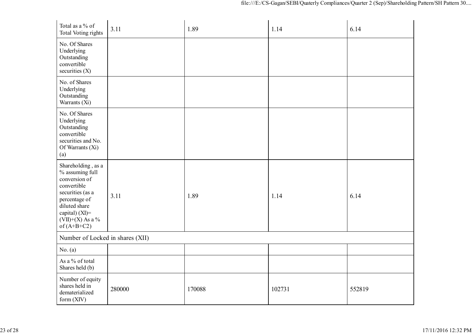| Total as a % of<br><b>Total Voting rights</b>                                                                                                                                        | 3.11   | 1.89   | 1.14   | 6.14   |
|--------------------------------------------------------------------------------------------------------------------------------------------------------------------------------------|--------|--------|--------|--------|
| No. Of Shares<br>Underlying<br>Outstanding<br>convertible<br>securities (X)                                                                                                          |        |        |        |        |
| No. of Shares<br>Underlying<br>Outstanding<br>Warrants (Xi)                                                                                                                          |        |        |        |        |
| No. Of Shares<br>Underlying<br>Outstanding<br>convertible<br>securities and No.<br>Of Warrants (Xi)<br>(a)                                                                           |        |        |        |        |
| Shareholding, as a<br>% assuming full<br>conversion of<br>convertible<br>securities (as a<br>percentage of<br>diluted share<br>capital) (XI)=<br>$(VII)+(X)$ As a %<br>of $(A+B+C2)$ | 3.11   | 1.89   | 1.14   | 6.14   |
| Number of Locked in shares (XII)                                                                                                                                                     |        |        |        |        |
| No. (a)                                                                                                                                                                              |        |        |        |        |
| As a % of total<br>Shares held (b)                                                                                                                                                   |        |        |        |        |
| Number of equity<br>shares held in<br>dematerialized<br>form $(XIV)$                                                                                                                 | 280000 | 170088 | 102731 | 552819 |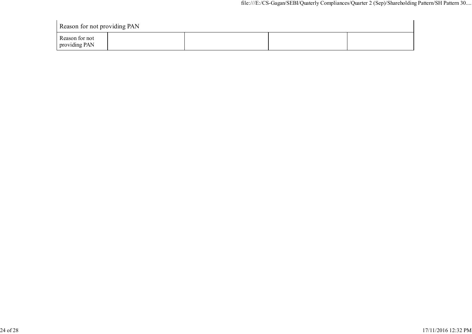| Reason for not providing PAN    |  |  |
|---------------------------------|--|--|
| Reason for not<br>providing PAN |  |  |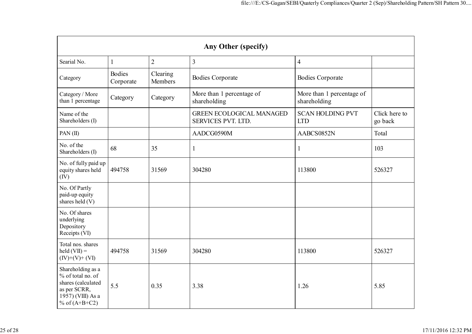| Any Other (specify)                                                                                                  |                            |                     |                                                       |                                           |                          |  |  |
|----------------------------------------------------------------------------------------------------------------------|----------------------------|---------------------|-------------------------------------------------------|-------------------------------------------|--------------------------|--|--|
| Searial No.                                                                                                          | 1                          | $\overline{2}$      | $\overline{3}$                                        | $\overline{4}$                            |                          |  |  |
| Category                                                                                                             | <b>Bodies</b><br>Corporate | Clearing<br>Members | <b>Bodies Corporate</b>                               | <b>Bodies Corporate</b>                   |                          |  |  |
| Category / More<br>than 1 percentage                                                                                 | Category                   | Category            | More than 1 percentage of<br>shareholding             | More than 1 percentage of<br>shareholding |                          |  |  |
| Name of the<br>Shareholders (I)                                                                                      |                            |                     | <b>GREEN ECOLOGICAL MANAGED</b><br>SERVICES PVT. LTD. | <b>SCAN HOLDING PVT</b><br><b>LTD</b>     | Click here to<br>go back |  |  |
| PAN(II)                                                                                                              |                            |                     | AADCG0590M                                            | AABCS0852N                                | Total                    |  |  |
| No. of the<br>Shareholders (I)                                                                                       | 68                         | 35                  | 1                                                     | 1                                         | 103                      |  |  |
| No. of fully paid up<br>equity shares held<br>(IV)                                                                   | 494758                     | 31569               | 304280                                                | 113800                                    | 526327                   |  |  |
| No. Of Partly<br>paid-up equity<br>shares held (V)                                                                   |                            |                     |                                                       |                                           |                          |  |  |
| No. Of shares<br>underlying<br>Depository<br>Receipts (VI)                                                           |                            |                     |                                                       |                                           |                          |  |  |
| Total nos. shares<br>$\text{held}(\text{VII}) =$<br>$(IV)+(V)+(VI)$                                                  | 494758                     | 31569               | 304280                                                | 113800                                    | 526327                   |  |  |
| Shareholding as a<br>% of total no. of<br>shares (calculated<br>as per SCRR,<br>1957) (VIII) As a<br>% of $(A+B+C2)$ | 5.5                        | 0.35                | 3.38                                                  | 1.26                                      | 5.85                     |  |  |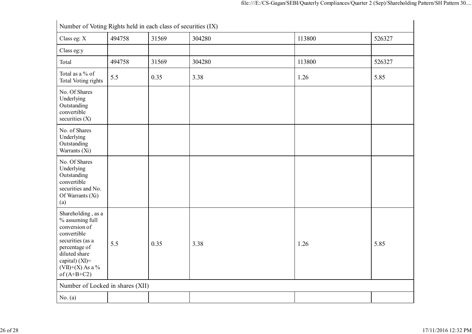| Number of Voting Rights held in each class of securities (IX)                                                                                                                        |        |       |        |        |        |  |
|--------------------------------------------------------------------------------------------------------------------------------------------------------------------------------------|--------|-------|--------|--------|--------|--|
| Class eg: X                                                                                                                                                                          | 494758 | 31569 | 304280 | 113800 | 526327 |  |
| Class eg:y                                                                                                                                                                           |        |       |        |        |        |  |
| Total                                                                                                                                                                                | 494758 | 31569 | 304280 | 113800 | 526327 |  |
| Total as a % of<br><b>Total Voting rights</b>                                                                                                                                        | 5.5    | 0.35  | 3.38   | 1.26   | 5.85   |  |
| No. Of Shares<br>Underlying<br>Outstanding<br>convertible<br>securities $(X)$                                                                                                        |        |       |        |        |        |  |
| No. of Shares<br>Underlying<br>Outstanding<br>Warrants (Xi)                                                                                                                          |        |       |        |        |        |  |
| No. Of Shares<br>Underlying<br>Outstanding<br>convertible<br>securities and No.<br>Of Warrants (Xi)<br>(a)                                                                           |        |       |        |        |        |  |
| Shareholding, as a<br>% assuming full<br>conversion of<br>convertible<br>securities (as a<br>percentage of<br>diluted share<br>capital) (XI)=<br>$(VII)+(X)$ As a %<br>of $(A+B+C2)$ | 5.5    | 0.35  | 3.38   | 1.26   | 5.85   |  |
| Number of Locked in shares (XII)                                                                                                                                                     |        |       |        |        |        |  |
| No. (a)                                                                                                                                                                              |        |       |        |        |        |  |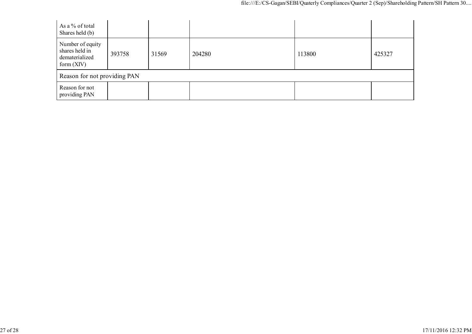| As a % of total<br>Shares held (b)                                   |        |       |        |        |        |  |  |
|----------------------------------------------------------------------|--------|-------|--------|--------|--------|--|--|
| Number of equity<br>shares held in<br>dematerialized<br>form $(XIV)$ | 393758 | 31569 | 204280 | 113800 | 425327 |  |  |
| Reason for not providing PAN                                         |        |       |        |        |        |  |  |
| Reason for not<br>providing PAN                                      |        |       |        |        |        |  |  |